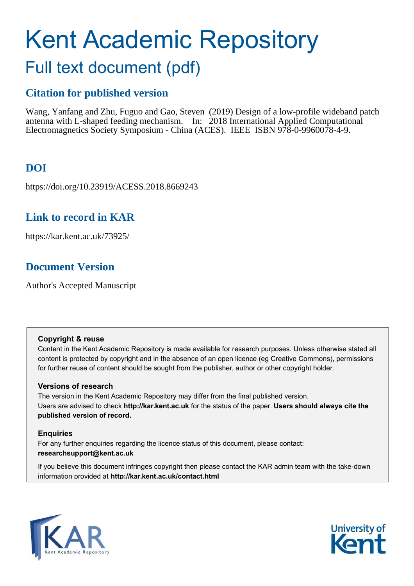# Kent Academic Repository Full text document (pdf)

## **Citation for published version**

Wang, Yanfang and Zhu, Fuguo and Gao, Steven (2019) Design of a low-profile wideband patch antenna with L-shaped feeding mechanism. In: 2018 International Applied Computational Electromagnetics Society Symposium - China (ACES). IEEE ISBN 978-0-9960078-4-9.

### **DOI**

https://doi.org/10.23919/ACESS.2018.8669243

#### **Link to record in KAR**

https://kar.kent.ac.uk/73925/

#### **Document Version**

Author's Accepted Manuscript

#### **Copyright & reuse**

Content in the Kent Academic Repository is made available for research purposes. Unless otherwise stated all content is protected by copyright and in the absence of an open licence (eg Creative Commons), permissions for further reuse of content should be sought from the publisher, author or other copyright holder.

#### **Versions of research**

The version in the Kent Academic Repository may differ from the final published version. Users are advised to check **http://kar.kent.ac.uk** for the status of the paper. **Users should always cite the published version of record.**

#### **Enquiries**

For any further enquiries regarding the licence status of this document, please contact: **researchsupport@kent.ac.uk**

If you believe this document infringes copyright then please contact the KAR admin team with the take-down information provided at **http://kar.kent.ac.uk/contact.html**



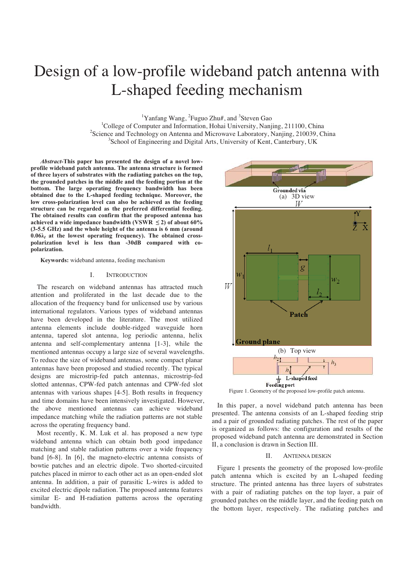### Design of a low-profile wideband patch antenna with L-shaped feeding mechanism

<sup>1</sup>Yanfang Wang, <sup>2</sup>Fuguo Zhu#, and <sup>3</sup>Steven Gao

<sup>1</sup>College of Computer and Information, Hohai University, Nanjing, 211100, China <sup>2</sup>Science and Technology on Antenna and Microwave Laboratory, Nanjing, 210039, China <sup>3</sup>School of Engineering and Digital Arts, University of Kent, Canterbury, UK

*Abstract-***This paper has presented the design of a novel lowprofile wideband patch antenna. The antenna structure is formed of three layers of substrates with the radiating patches on the top, the grounded patches in the middle and the feeding portion at the bottom. The large operating frequency bandwidth has been obtained due to the L-shaped feeding technique. Moreover, the low cross-polarization level can also be achieved as the feeding structure can be regarded as the preferred differential feeding. The obtained results can confirm that the proposed antenna has**  achieved a wide impedance bandwidth (VSWR  $\leq$  2) of about 60% **(3-5.5 GHz) and the whole height of the antenna is 6 mm (around 0.06λ***<sup>l</sup>*  **at the lowest operating frequency). The obtained crosspolarization level is less than -30dB compared with copolarization.** 

**Keywords:** wideband antenna, feeding mechanism

#### I. INTRODUCTION

The research on wideband antennas has attracted much attention and proliferated in the last decade due to the allocation of the frequency band for unlicensed use by various international regulators. Various types of wideband antennas have been developed in the literature. The most utilized antenna elements include double-ridged waveguide horn antenna, tapered slot antenna, log periodic antenna, helix antenna and self-complementary antenna [1-3], while the mentioned antennas occupy a large size of several wavelengths. To reduce the size of wideband antennas, some compact planar antennas have been proposed and studied recently. The typical designs are microstrip-fed patch antennas, microstrip-fed slotted antennas, CPW-fed patch antennas and CPW-fed slot antennas with various shapes [4-5]. Both results in frequency and time domains have been intensively investigated. However, the above mentioned antennas can achieve wideband impedance matching while the radiation patterns are not stable across the operating frequency band.

Most recently, K. M. Luk et al. has proposed a new type wideband antenna which can obtain both good impedance matching and stable radiation patterns over a wide frequency band [6-8]. In [6], the magneto-electric antenna consists of bowtie patches and an electric dipole. Two shorted-circuited patches placed in mirror to each other act as an open-ended slot antenna. In addition, a pair of parasitic L-wires is added to excited electric dipole radiation. The proposed antenna features similar E- and H-radiation patterns across the operating bandwidth.



Figure 1. Geometry of the proposed low-profile patch antenna.

In this paper, a novel wideband patch antenna has been presented. The antenna consists of an L-shaped feeding strip and a pair of grounded radiating patches. The rest of the paper is organized as follows: the configuration and results of the proposed wideband patch antenna are demonstrated in Section II, a conclusion is drawn in Section III.

#### II. ANTENNA DESIGN

Figure 1 presents the geometry of the proposed low-profile patch antenna which is excited by an L-shaped feeding structure. The printed antenna has three layers of substrates with a pair of radiating patches on the top layer, a pair of grounded patches on the middle layer, and the feeding patch on the bottom layer, respectively. The radiating patches and